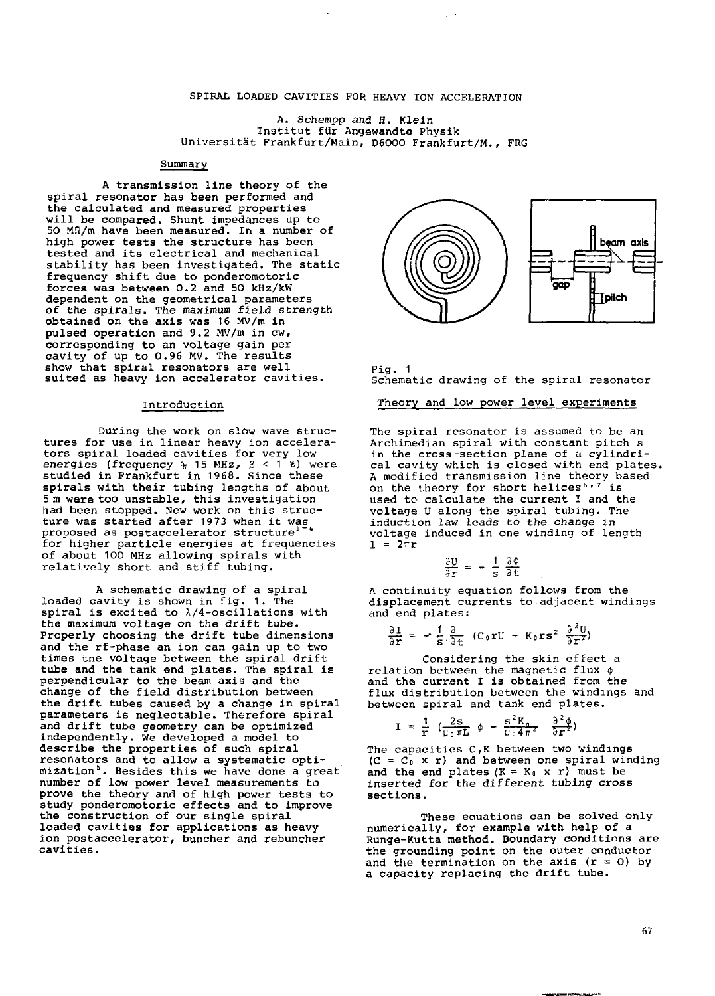### SPIRAL LOADED CAVITIES FOR HEAVY ION ACCELERATION

 $\sim$   $\,$ 

A. Schempp and H. Klein Institut fur Angewandte Physik Universitat Frankfurt/Main, D6OOO Frankfurt/M., FRG

## Summary

A transmission line theory of the spiral resonator has been performed and the calculated and measured properties will be compared. Shunt impedances up to 50 Mf2/m have been measured. In a number of high power tests the structure has been tested and its electrical and mechanical stability has been investigated. The static frequency shift due to ponderomotoric forces was between 0.2 and 50 kHz/kW dependent on the geometrical parameters of the spirals. The maximum field strength obtained on the axis was 16 MV/m in pulsed operation and 9.2 MV/m in cw, corresponding to an voltage gain per cavity of up to 0.96 MV. The results show that spiral resonators are well suited as heavy ion accelerator cavities.

#### Introduction

During the work on slow wave structures for use in linear heavy ion accelerators spiral loaded cavities for very low energies (frequency  $\frac{1}{6}$  15 MHz,  $\beta$  < 1<sup>2</sup> ) were studied in Frankfurt in 1968. Since these spirals with their tubing lengths of about 5 m were too unstable, this investigation had been stopped. New work on this structure was started after 1973 when it was proposed as postaccelerator structure<sup>1</sup> for higher particle energies at frequencies of about 100 MHz allowing spirals with relatively short and stiff tubing.

A schematic drawing of a spiral loaded cavity is shown in fig. 1. The spiral is excited to  $\lambda/4$ -oscillations with the maximum voltage on the drift tube. Properly choosing the drift tube dimensions and the rf-phase an ion can gain up to two times tne voltage between the spiral drift tube and the tank end plates. The spiral is perpendicular to the beam axis and the change of the field distribution between the drift tubes caused by a change in spiral parameters is neglectable. Therefore spiral and drift tube geometry can be optimized independently. We developed a model to describe the properties of such spiral resonators and to allow a systematic optimization<sup>5</sup>. Besides this we have done a great number of low power level measurements to prove the theory and of high power tests to study ponderomotoric effects and to improve the construction of our single spiral loaded cavities for applications as heavy ion postaccelerator, buncher and rebuncher cavities.



Fig. 1 Schematic drawing of the spiral resonator

#### Theory and low power level experiments

The spiral resonator is assumed to be an Archimedian spiral with constant pitch s in the cross-section plane of a cylindrical cavity which is closed with end plates. A modified transmission line theory based on the theory for short helices<sup>6,7</sup> is used to calculate the current I and the voltage U along the spiral tubing. The induction law leads to the change in voltage induced in one winding of length  $1 = 2\pi r$ 

$$
\frac{U}{r} = -\frac{1}{s} \frac{\partial \Phi}{\partial t}
$$

 $\partial$  $\frac{1}{3}$ 

A continuity equation follows from the displacement currents to adjacent windings and end plates:

$$
\frac{\partial \mathbf{I}}{\partial \mathbf{r}} = -\frac{1}{s} \frac{\partial}{\partial t} (C_0 \mathbf{r} U - K_0 \mathbf{r} s^2 \frac{\partial^2 U}{\partial \mathbf{r}^2})
$$

Considering the skin effect a relation between the magnetic flux  $\phi$ and the current I is obtained from the flux distribution between the windings and between spiral and tank end plates.

$$
\mathbf{I} = \frac{1}{r} \left( \frac{2s}{\mu_0 \pi L} \phi - \frac{s^2 K_0}{\mu_0 4 \pi^2} \frac{\partial^2 \phi}{\partial r^2} \right)
$$

The capacities C,K between two windings  $(C = C_0 x r)$  and between one spiral winding and the end plates  $(K = K_0 \times r)$  must be inserted for the different tubing cross sections.

These equations can be solved only numerically, for example with help of a Runge-Kutta method. Boundary conditions are the grounding point on the outer conductor and the termination on the axis (r = 0) by a capacity replacing the drift tube.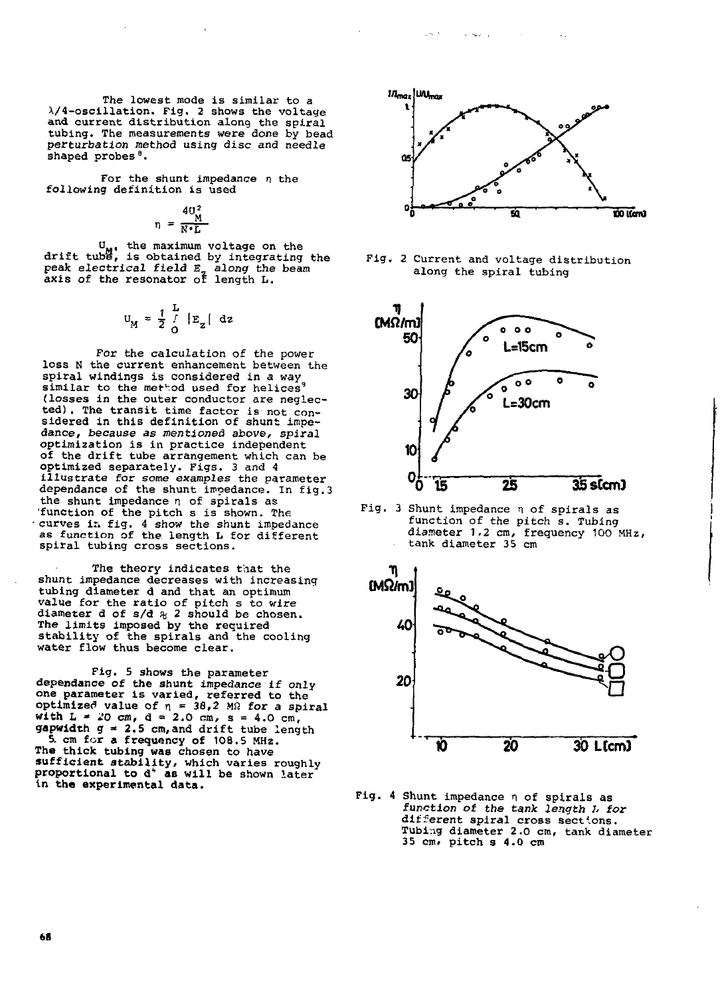The lowest mode is similar to a X/4-oscillation. Fig, 2 shows the voltage and current distribution along the spiral tubing. The measurements were done by bead perturbation method using disc and needle shaped probes<sup>8</sup>.

For the shunt impedance  $\eta$  the following definition is used

$$
\eta = \frac{4U_{\text{M}}^2}{N \cdot L}
$$

U<sub>M</sub>, the maximum voltage on the<br>drift tube, is obtained by integrating the peak electrical field E<sub>,</sub> along the beam<br>axis of the resonator of length L.

$$
U_M = \frac{1}{2} \int_{0}^{L} |E_z| dz
$$

For the calculation of the power loss N the current enhancement between the spiral windings is considered in a way similar to the method used for helices<sup>9</sup> (losses in the outer conductor are neglected) . The transit time factor is not con-sidered in this definition of shunt impedance, because as mentioned above, spiral optimization is in practice independent of the drift tube arrangement which can be optimized separately. Figs. 3 and 4 illustrate for some examples the parameter dependance of the shunt impedance. In fig.3 the shunt impedance n of spirals as 'function of the pitch s is shown. The<br>curves in fig. 4 show the shunt impedance<br>as function of the length L for different spiral tubing cross sections.

The theory indicates that the shunt impedance decreases with increasing tubing diameter d and that an optimum value for the ratio of pitch s to wire diameter d of  $s/d \approx 2$  should be chosen. The limits imposed by the required stability of the spirals and the cooling water flow thus become clear.

Fig. 5 shows the parameter dependance of the shunt impedance if only one parameter is varied, referred to the<br>optimized value of  $n = 38.2$  MR for a spiral<br>with  $L = 20$  cm,  $d = 2.0$  cm,  $s = 4.0$  cm,<br>gapwidth  $g = 2.5$  cm, and drift tube length<br>5. cm for a frequency of 108.5 MHz. **The thick tubing was** chosen to have **sufficient stability,** which varies roughly **proportional to d\* as will be** shown later in **the experimental data.**



a material





Fig. 3 Shunt impedance n of spirals as function of the pitch s. Tubing diameter 1.2 cm, frequency 100 MHz, tank diameter 35 cm



Fig. 4 Shunt impedance  $n$  of spirals as function of the tank length L for different spiral cross sections. Tubing diameter 2.0 cm, tank diameter 35 cm. pitch s 4.0 cm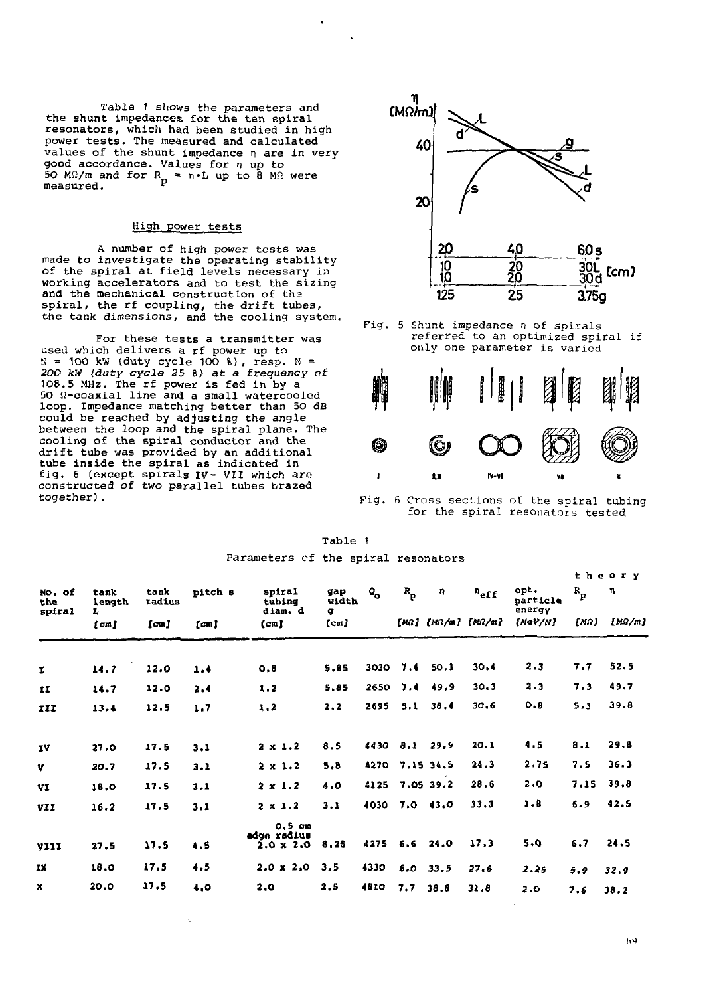Table 1 shovs the parameters and the shunt impedances for the ten spiral resonators, which had been studied in high power tests. The measured and calculated values of the shunt impedance n are in verygood accordance. Values for *n* up to<br>50 M $\Omega$ /m and for  $R_p \approx n \cdot L$  up to 8 M $\Omega$  were<br>measured.

# High power tests

A number of high power tests was made to investigate the operating stability of the spiral at field levels necessary in working accelerators and to test the sizing and the mechanical construction of tha spiral, the rf coupling, the drift tubes, the tank dimensions, and the cooling system.

For these tests a transmitter was used which delivers a rf power up to N = 100 kW (duty cycle 100 %), resp. N =<br>*200 kW (duty cycle 25* %) at a frequency of<br>108.5 MHz. The rf power is fed in by a  $50$   $\Omega$ -coaxial line and a small watercooled loop. Impedance matching better than 50 dB could be reached by adjusting the angle between the loop and the spiral plane. The cooling of the spiral conductor and the drift tube was provided by an additional tube inside the spiral as indicated in fig. 6 (except spirals IV- VII which are constructed of two parallel tubes brazed together).



referred to an optimized spiral if only one parameter is varied



Fig. 6 Cross sections of the spiral tubing for the spiral resonators tested.

| Table |  |
|-------|--|
|       |  |

 $\ddot{\phantom{a}}$ 

|  |  |  |  | Parameters of the spiral resonators |
|--|--|--|--|-------------------------------------|
|--|--|--|--|-------------------------------------|

| No. of<br>the<br>spiral | tank<br>length<br>ı. | tank<br>radius | pitch s | spiral<br>tubing<br>diam. d                 | gap<br>width<br>q | $\mathbf{Q}_{\mathbf{Q}}$ | $R_p$          | η                  | $n_{\rm eff}$ | opt.<br>narticle<br>energy | $\mathbf{R}_{\mathbf{p}}$ | η    |
|-------------------------|----------------------|----------------|---------|---------------------------------------------|-------------------|---------------------------|----------------|--------------------|---------------|----------------------------|---------------------------|------|
| [cm]                    | [cm]                 | [cm]           | (cm)    | (cm)                                        |                   |                           |                | [MG] [MG/m] [MG/m] | {MeV/N}       | [MQ]                       | $[M\Omega/m]$             |      |
|                         |                      |                |         |                                             |                   |                           |                |                    |               |                            |                           |      |
| $\mathbf{I}$            | 14.7                 | 12.0           | 1.4     | 0.8                                         | 5.85              | 3030                      | 7.4            | 50.1               | 30.4          | 2.3                        | 7.7                       | 52.5 |
| II                      | 14.7                 | 12.0           | 2.4     | 1.2                                         | 5,85              | 2650                      | 7.4            | 49.9               | 30.3          | $2 - 3$                    | 7.3                       | 49.7 |
| 111                     | 13.4                 | 12.5           | 1.7     | 1.2                                         | 2.2               | 2695                      | 5.1            | 38.4               | 30.6          | 0.8                        | 5.3                       | 39.8 |
| 1V                      | 27.0                 | 17.5           | 3.1     | $2 \times 1.2$                              | 8.5               | 4430                      | 8.1            | 29.9               | 20.1          | 4.5                        | 8.1                       | 29.8 |
| v                       | 20.7                 | 17.5           | 3.1     | $2 \times 1.2$                              | 5.8               |                           | 4270 7.15 34.5 |                    | 24.3          | 2.75                       | 7.5                       | 36.3 |
| VI                      | 18.0                 | 17.5           | 3.1     | $2 \times 1.2$                              | 4.0               | 4125                      |                | 7.05 39.2          | 28.6          | 2.0                        | 7.15                      | 39.8 |
| VII                     | 16.2                 | 17.5           | 3.1     | $2 \times 1.2$                              | 3.1               | 4030                      |                | 7.043.0            | 33.3          | 1.8                        | 6.9                       | 42.5 |
| VIII                    | 27.5                 | 17.5           | 4.5     | $0.5$ cm<br>edge radius<br>$2.0 \times 2.0$ | 8,25              | 4275                      |                | $6.6$ 24.0         | 17.3          | 5.0                        | 6.7                       | 24.5 |
| ΙX.                     | 18.0                 | 17.5           | 4.5     | $2.0 \times 2.0$                            | 3.5               | 4330                      |                | $6.0$ $33.5$       | 27.6          | 2.25                       | 5.9                       | 32.9 |
| x                       | 20.0                 | 17.5           | 4.0     | 2.0                                         | 2.5               | 4810                      | 7.7            | 38.8               | 31.8          | 2.0                        | 7.6                       | 38.2 |

**theor y**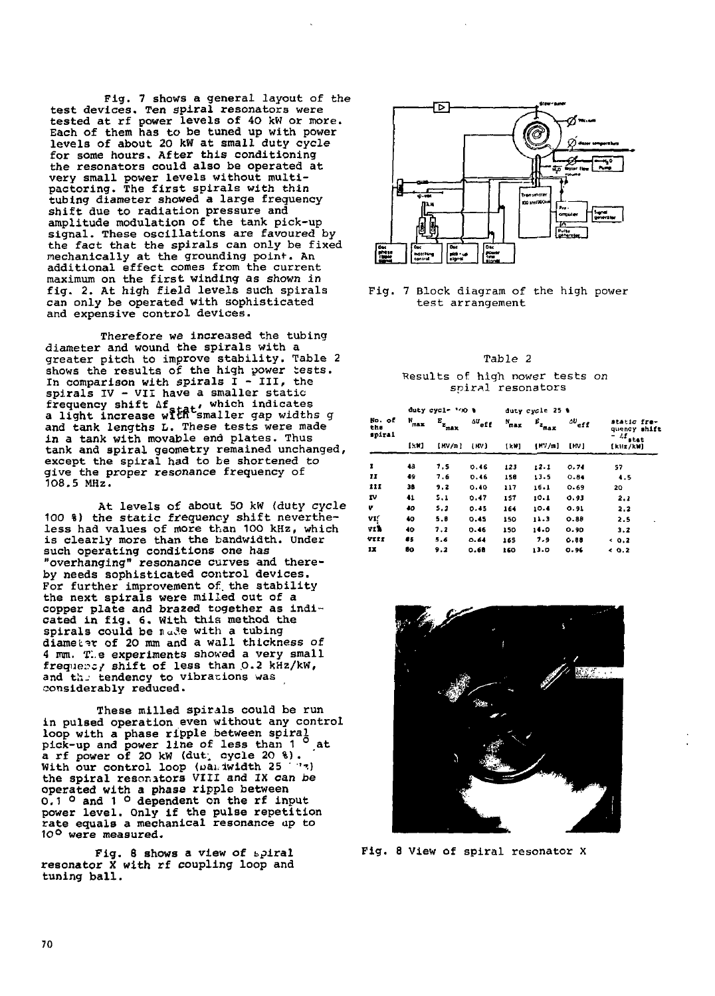Fig. 7 shows a general layout of the test devices. Ten spiral resonators were tested at rf power levels of 40 kW or more. Each of them has to be tuned up with power levels of about 20 kW at small duty cycle for some hours. After this conditioning the resonators could also be operated at very small power levels without multipactorlng. The first spirals with thin tubing diameter showed a large frequency shift due to radiation pressure and amplitude modulation of the tank pick-up signal. These oscillations are favoured by the fact that the spirals can only be fixed mechanically at the grounding point. An additional effect comes from the current maximum on the first winding as shown in fig. 2. At high field levels such spirals can only be operated with sophisticated and expensive control devices.

Therefore we increased the tubing diameter and wound the spirals with a greater pitch to improve stability. Table 2 shows the results of the high power tests. In comparison with spirals  $I - III$ , the spirals  $IV - VII$  have a smaller static frequency shift Af<sub>atat</sub>, which indicates<br>a light increase with smaller gap widths g and tank lengths L. These tests were made in a tank with movable end plates. Thus tank and spiral geometry remained unchanged, except the spiral had to be shortened to give the proper resonance frequency of 108.5 MHz.

At levels of about 50 kW (duty cycle 100 %) the static frequency shift nevertheless had values of more than 100 kHz, which is clearly more than the bandwidth. Under such operating conditions one has "overhanging" resonance curves and thereby needs sophisticated control devices. For further improvement of. the stability the next spirals were milled out of a copper plate and brazed together as indicated in fig. 6. With this method the spirals could be  $n_d$ de with a tubing diameter of 20 mm and a wall thickness of 4 mm. Tie experiments shoved a very small frequency shift of less than  $0.2$  kHz/kW, and the tendency to vibrations was considerably reduced.

These milled spirals could be run in pulsed operation even without any control loop with a phase ripple between spiral<br>pick-up and power line of less than 1 <sup>0</sup> at<br>a rf power of 20 kW (dut, cycle 20 %).<br>With our control loop (pan iwidth 25 <sup>- 7</sup>7)<br>the spiral resonators VIII and IX can be<br>operated wit power level. Only if the pulse repetition rate equals a mechanical resonance up to 10° were measured.

Fig. 8 shows a view of bpiral resonator X with rf coupling loop and tuning ball.



Fig. 7 Block diagram of the high power test arrangement

### Table 2

#### •Results of high nower tests on soiral resonators

|                         |                   | duty cycle '00 %            |                           |                   | duty cycle 25 %             |                            |                                                                       |
|-------------------------|-------------------|-----------------------------|---------------------------|-------------------|-----------------------------|----------------------------|-----------------------------------------------------------------------|
| No. of<br>the<br>spiral | $N_{max}$<br>1501 | $E_{\rm z_{max}}$<br>[MV/n] | $\Delta U_{eff}$<br>( HV) | $N_{max}$<br>1kW1 | $\varepsilon_{\rm z_{max}}$ | $\omega_{\tt eff}$<br>[MV] | static fre-<br>quency shift<br>$-Lr_{\text{start}}$<br>$[x_1/x_2/kM]$ |
|                         |                   |                             |                           |                   | [M]/n                       |                            |                                                                       |
| ı                       | 48                | 7.5                         | 0.46                      | 123               | 12.1                        | 0.74                       | 57                                                                    |
| 11                      | 49                | 7.6                         | 0.46                      | 150               | 13.5                        | 0.84                       | 4.5                                                                   |
| III                     | 38                | 9.2                         | 0.40                      | 117               | 16.1                        | 0.69                       | 20                                                                    |
| IV                      | 41                | 5.1                         | 0.47                      | 157               | 10.1                        | 0.93                       | 2.1                                                                   |
| v                       | 40                | 5.2                         | 0.45                      | 164               | 10.4                        | 0.91                       | 2.2                                                                   |
| VI!                     | 40                | 5.0                         | 0.45                      | 150               | 11.3                        | 0.88                       | 2.5                                                                   |
| vıÈ                     | 40                | 7.2                         | 0.46                      | 150               | 14.0                        | 0.90                       | 3.2                                                                   |
| VIII                    | 85                | 5.6                         | 0.64                      | 165               | 7.9                         | 0.88                       | < 0.2                                                                 |
| IX.                     | 80                | 9.2                         | 0.68                      | 160               | 13.0                        | 0.96                       | 40.2                                                                  |



Fig. 8 View of spiral resonator X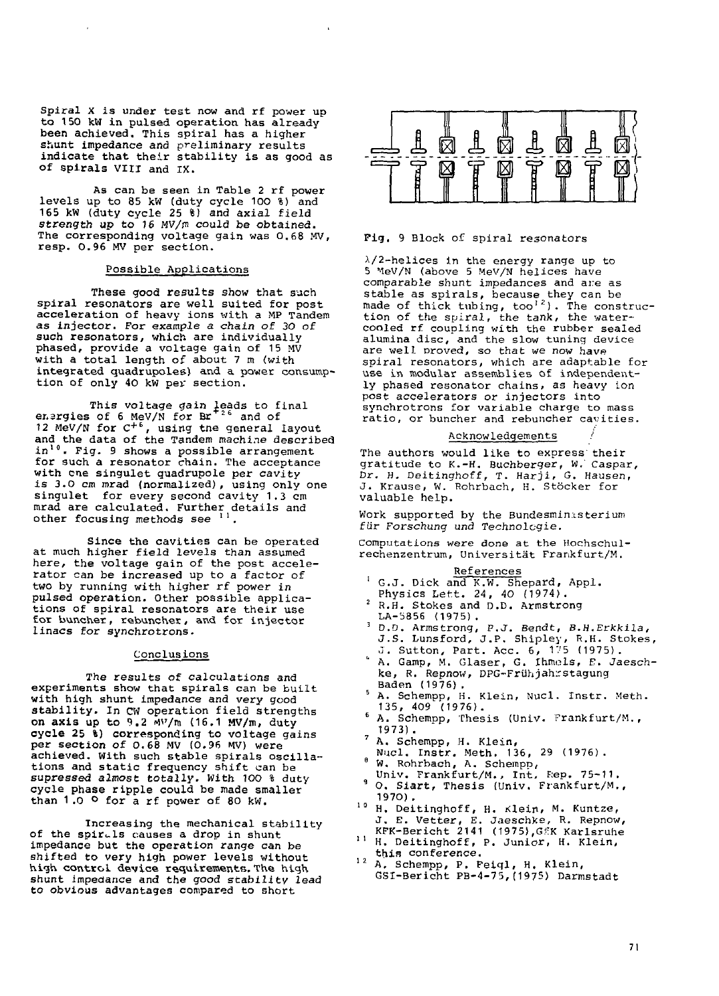Spiral X is under test now and rf power up to 150 kW in pulsed operation has already been achieved. This spiral has a higher shunt impedance and preliminary results indicate that their stability is as good as of spirals VIII and IX.

As can be seen in Table 2 rf power levels up to 85 kW (duty cycle 100 %) and 165 kW (duty cycle 25 %) and axial field strength up to 16 MV/m could be obtained. The corresponding voltage gain was 0.68 MV, resp. 0.96 MV per section.

### Possible Applications

These good results show that such spiral resonators are well suited for post acceleration of heavy ions with a MP Tandem as injector. For example a chain of 30 of such resonators, which are individually phased, provide a voltage gain of 15 MV with a total length of about 7 m (with integrated quadrupoles) and a power consumption of only 40 kW per section.

This voltage gain leads to final<br>energies of 6 MeV/N for Br<sup>+26</sup> and of 12 MeV/N for  $C^{+6}$ , using the general layout and the data of the Tandem machine described in<sup>10</sup>. Fig. 9 shows a possible arrangement for such a resonator chain. The acceptance with cne singulet quadrupole per cavity is 3.0 cm mrad (normalized), using only one singulet for every second cavity 1.3 cm mrad are calculated. Further details and other focusing methods see ''.

Since the cavities can be operated at much higher field levels than assumed here, the voltage gain of the post accelerator can be increased up to a factor of two by running with higher rf power in pulsed operation. Other possible applications of spiral resonators are their use for buncher, rebuncher, and for injector linacs for synchrotrons.

#### **Conclusions**

The results of calculations and experiments show that spirals can be built with high shunt impedance and very good stability. In CW operation field strengths on axis up to 9.2 W/m (16.1 MV/m, duty cycle 25 %) corresponding to voltage gains per section of 0.68 MV (0.96 W ) were achieved. With such stable spirals oscillations and static frequency shift can be supressed almost totally. With 100 % duty cycle phase ripple could be made smaller than  $1.0$   $\circ$  for a rf power of 80 kW.

Increasing the mechanical stability of the spirals causes a drop in shunt impedance but the operation range can be shifted to very high power levels without high control device requirements. The high shunt impedance and the good stability lead to obvious advantages compared to short



### Pig. 9 Block of spiral resonators

A/2-helices in the energy range up to 5 MeV/N (above 5 MeV/N helices have comparable shunt impedances and are as stable as spirals, because they can be<br>made of thick tubing, too<sup>12</sup>). The construc-<br>tion of the spiral, the tank, the watercooled rf coupling with the rubber sealed alumina disc, and the slow tuning device are well proved, so that we now have spiral resonators, which are adaptable for use in modular assemblies of independently phased resonator chains, as heavy ion post accelerators or injectors into synchrotrons for variable charge to mass ratio, or buncher and rebuncher cavities.

### Acknowledgements

The authors would like to express their gratitude to K.-H. Buchberger, W. Caspar, Dr. H. Deitinghoff, T. Harji, G. Hausen, J. Krause, W. Rohrbach, H. Stocker for valuable help.

Work supported by the Bundesminasterium fur Forschung und Technolcgie.

Computations were done at the Hochschulrechenzentrum, Universitat Frankfurt/M.

### References

- <sup>1</sup> G.J. Dick and K.W. Shepard, Appl.
- Physics Lett. 24, 40 (1974). R.H. Stokes and D.D. Armstrong LA-5856 (1975).
- <sup>3</sup> D.D. Armstrong, P.J. Bendt, B.H.Erkkila, J.S. Lunsford, J.P. Shipley, R.H. Stokes, J. Sutton, Part. Ace. 6, 175 (1975).
- A. Gamp, M. Glaser, G. Ihmels, E. Jaeschke, R. Repnow, DPG-Friihjahrstagung Baden (1976) .
- <sup>5</sup> A. Schempp, H. Klein, Nucl. Instr. Meth.<br><sub>2</sub> 135, 409 (1976).
- <sup>6</sup> A. Schempp, Thesis (Univ. Frankfurt/M., 1973) .
- A. Schempp, H. Klein,
- Nucl. Instr. Meth. 136, 29 (1976).<br><sup>8</sup> W. Rohrbach, A. Schempp,<br>Univ. Frankfurt/M., Int. Rep. 75-11.
- ' 0. Siart, Thesis (Univ. Frankfurt/M., 1970).
- <sup>10</sup> H. Deitinghoff, H. Klein, M. Kuntze, J. E. Vetter, E. Jaeschke, R. Repnow,
- KFK-Bericht 2141 (1975), GEK Karlsruhe <sup>11</sup> H. Deitinghoff, P. Junior, H. Klein, this conference.
- <sup>12</sup> A. Schempp, P. Feiql, H. Klein,<br>GSI-Bericht PB-4-75,(1975) Darmstadt